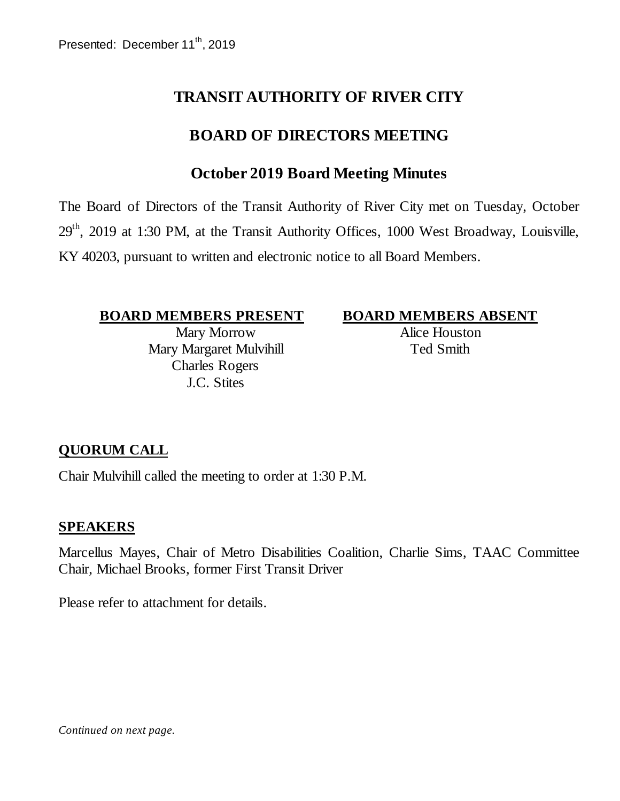# **TRANSIT AUTHORITY OF RIVER CITY**

# **BOARD OF DIRECTORS MEETING**

# **October 2019 Board Meeting Minutes**

The Board of Directors of the Transit Authority of River City met on Tuesday, October 29<sup>th</sup>, 2019 at 1:30 PM, at the Transit Authority Offices, 1000 West Broadway, Louisville, KY 40203, pursuant to written and electronic notice to all Board Members.

#### **BOARD MEMBERS PRESENT BOARD MEMBERS ABSENT**

Mary Morrow Mary Margaret Mulvihill Charles Rogers J.C. Stites

Alice Houston Ted Smith

### **QUORUM CALL**

Chair Mulvihill called the meeting to order at 1:30 P.M.

#### **SPEAKERS**

Marcellus Mayes, Chair of Metro Disabilities Coalition, Charlie Sims, TAAC Committee Chair, Michael Brooks, former First Transit Driver

Please refer to attachment for details.

*Continued on next page.*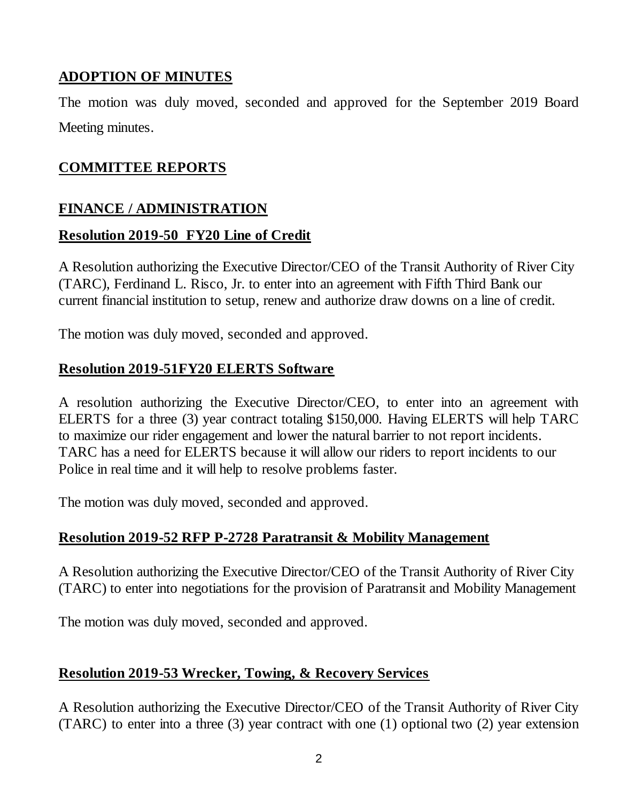# **ADOPTION OF MINUTES**

The motion was duly moved, seconded and approved for the September 2019 Board Meeting minutes.

## **COMMITTEE REPORTS**

### **FINANCE / ADMINISTRATION**

#### **Resolution 2019-50 FY20 Line of Credit**

A Resolution authorizing the Executive Director/CEO of the Transit Authority of River City (TARC), Ferdinand L. Risco, Jr. to enter into an agreement with Fifth Third Bank our current financial institution to setup, renew and authorize draw downs on a line of credit.

The motion was duly moved, seconded and approved.

### **Resolution 2019-51FY20 ELERTS Software**

A resolution authorizing the Executive Director/CEO, to enter into an agreement with ELERTS for a three (3) year contract totaling \$150,000. Having ELERTS will help TARC to maximize our rider engagement and lower the natural barrier to not report incidents. TARC has a need for ELERTS because it will allow our riders to report incidents to our Police in real time and it will help to resolve problems faster.

The motion was duly moved, seconded and approved.

### **Resolution 2019-52 RFP P-2728 Paratransit & Mobility Management**

A Resolution authorizing the Executive Director/CEO of the Transit Authority of River City (TARC) to enter into negotiations for the provision of Paratransit and Mobility Management

The motion was duly moved, seconded and approved.

### **Resolution 2019-53 Wrecker, Towing, & Recovery Services**

A Resolution authorizing the Executive Director/CEO of the Transit Authority of River City (TARC) to enter into a three (3) year contract with one (1) optional two (2) year extension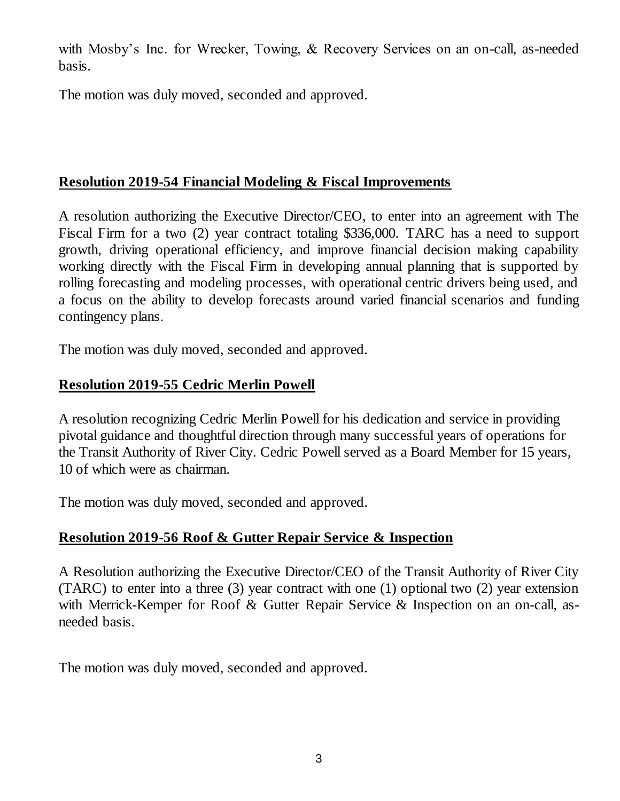with Mosby's Inc. for Wrecker, Towing, & Recovery Services on an on-call, as-needed basis.

The motion was duly moved, seconded and approved.

# **Resolution 2019-54 Financial Modeling & Fiscal Improvements**

A resolution authorizing the Executive Director/CEO, to enter into an agreement with The Fiscal Firm for a two (2) year contract totaling \$336,000. TARC has a need to support growth, driving operational efficiency, and improve financial decision making capability working directly with the Fiscal Firm in developing annual planning that is supported by rolling forecasting and modeling processes, with operational centric drivers being used, and a focus on the ability to develop forecasts around varied financial scenarios and funding contingency plans.

The motion was duly moved, seconded and approved.

## **Resolution 2019-55 Cedric Merlin Powell**

A resolution recognizing Cedric Merlin Powell for his dedication and service in providing pivotal guidance and thoughtful direction through many successful years of operations for the Transit Authority of River City. Cedric Powell served as a Board Member for 15 years, 10 of which were as chairman.

The motion was duly moved, seconded and approved.

# **Resolution 2019-56 Roof & Gutter Repair Service & Inspection**

A Resolution authorizing the Executive Director/CEO of the Transit Authority of River City (TARC) to enter into a three (3) year contract with one (1) optional two (2) year extension with Merrick-Kemper for Roof & Gutter Repair Service & Inspection on an on-call, asneeded basis.

The motion was duly moved, seconded and approved.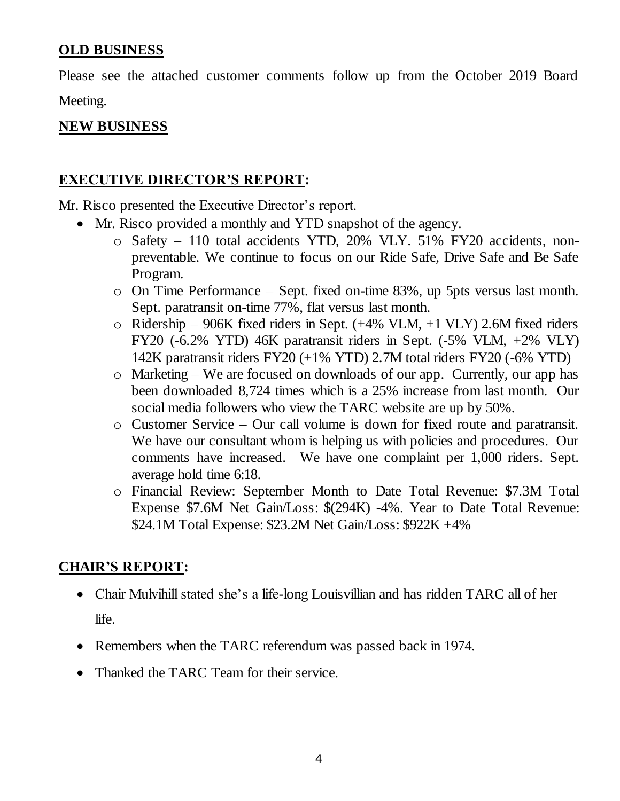#### **OLD BUSINESS**

Please see the attached customer comments follow up from the October 2019 Board Meeting.

#### **NEW BUSINESS**

#### **EXECUTIVE DIRECTOR'S REPORT:**

Mr. Risco presented the Executive Director's report.

- Mr. Risco provided a monthly and YTD snapshot of the agency.
	- o Safety 110 total accidents YTD, 20% VLY. 51% FY20 accidents, nonpreventable. We continue to focus on our Ride Safe, Drive Safe and Be Safe Program.
	- o On Time Performance Sept. fixed on-time 83%, up 5pts versus last month. Sept. paratransit on-time 77%, flat versus last month.
	- $\circ$  Ridership 906K fixed riders in Sept. (+4% VLM, +1 VLY) 2.6M fixed riders FY20 (-6.2% YTD) 46K paratransit riders in Sept. (-5% VLM, +2% VLY) 142K paratransit riders FY20 (+1% YTD) 2.7M total riders FY20 (-6% YTD)
	- o Marketing We are focused on downloads of our app. Currently, our app has been downloaded 8,724 times which is a 25% increase from last month. Our social media followers who view the TARC website are up by 50%.
	- o Customer Service Our call volume is down for fixed route and paratransit. We have our consultant whom is helping us with policies and procedures. Our comments have increased. We have one complaint per 1,000 riders. Sept. average hold time 6:18.
	- o Financial Review: September Month to Date Total Revenue: \$7.3M Total Expense \$7.6M Net Gain/Loss: \$(294K) -4%. Year to Date Total Revenue: \$24.1M Total Expense: \$23.2M Net Gain/Loss: \$922K +4%

#### **CHAIR'S REPORT:**

- Chair Mulvihill stated she's a life-long Louisvillian and has ridden TARC all of her life.
- Remembers when the TARC referendum was passed back in 1974.
- Thanked the TARC Team for their service.